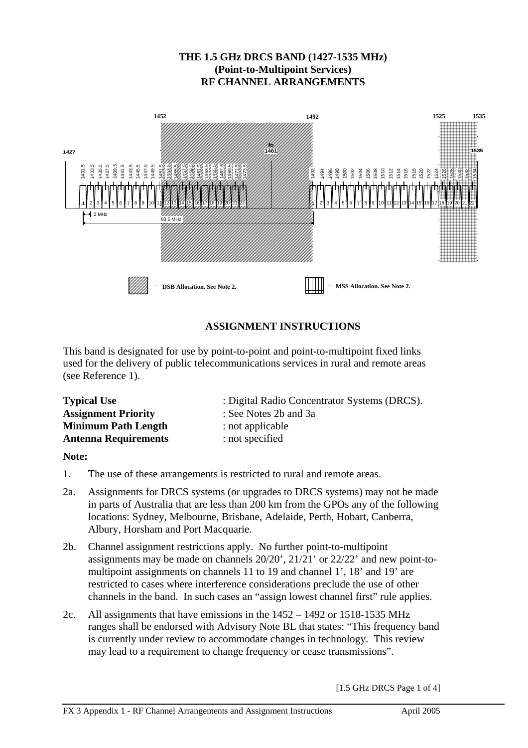# **THE 1.5 GHz DRCS BAND (1427-1535 MHz) (Point-to-Multipoint Services) RF CHANNEL ARRANGEMENTS**



# **ASSIGNMENT INSTRUCTIONS**

This band is designated for use by point-to-point and point-to-multipoint fixed links used for the delivery of public telecommunications services in rural and remote areas (see Reference 1).

| <b>Typical Use</b>          | : Digital Radio Concentrator Systems (DRCS). |
|-----------------------------|----------------------------------------------|
| <b>Assignment Priority</b>  | : See Notes 2b and 3a                        |
| <b>Minimum Path Length</b>  | : not applicable                             |
| <b>Antenna Requirements</b> | : not specified                              |

#### **Note:**

- 1. The use of these arrangements is restricted to rural and remote areas.
- 2a. Assignments for DRCS systems (or upgrades to DRCS systems) may not be made in parts of Australia that are less than 200 km from the GPOs any of the following locations: Sydney, Melbourne, Brisbane, Adelaide, Perth, Hobart, Canberra, Albury, Horsham and Port Macquarie.
- 2b. Channel assignment restrictions apply. No further point-to-multipoint assignments may be made on channels 20/20', 21/21' or 22/22' and new point-tomultipoint assignments on channels 11 to 19 and channel 1', 18' and 19' are restricted to cases where interference considerations preclude the use of other channels in the band. In such cases an "assign lowest channel first" rule applies.
- 2c. All assignments that have emissions in the 1452 1492 or 1518-1535 MHz ranges shall be endorsed with Advisory Note BL that states: "This frequency band is currently under review to accommodate changes in technology. This review may lead to a requirement to change frequency or cease transmissions".

[1.5 GHz DRCS Page 1 of 4]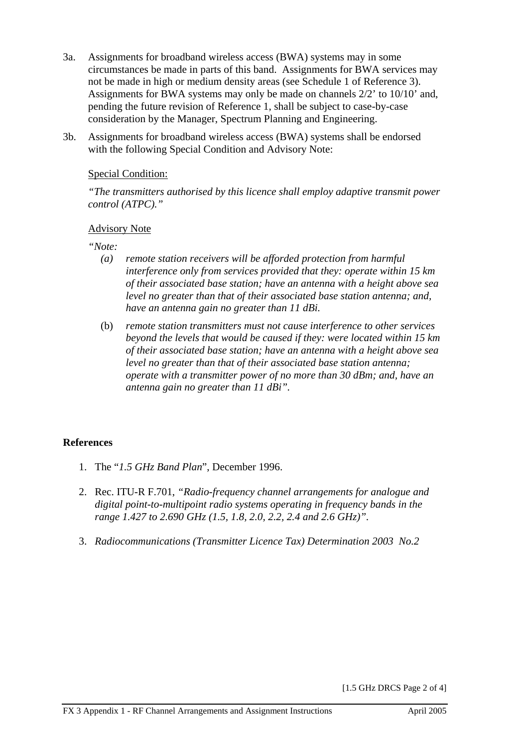- 3a. Assignments for broadband wireless access (BWA) systems may in some circumstances be made in parts of this band. Assignments for BWA services may not be made in high or medium density areas (see Schedule 1 of Reference 3). Assignments for BWA systems may only be made on channels 2/2' to 10/10' and, pending the future revision of Reference 1, shall be subject to case-by-case consideration by the Manager, Spectrum Planning and Engineering.
- 3b. Assignments for broadband wireless access (BWA) systems shall be endorsed with the following Special Condition and Advisory Note:

### Special Condition:

*"The transmitters authorised by this licence shall employ adaptive transmit power control (ATPC)."* 

### Advisory Note

*"Note:* 

- *(a) remote station receivers will be afforded protection from harmful interference only from services provided that they: operate within 15 km of their associated base station; have an antenna with a height above sea level no greater than that of their associated base station antenna; and, have an antenna gain no greater than 11 dBi.*
- (b) *remote station transmitters must not cause interference to other services beyond the levels that would be caused if they: were located within 15 km of their associated base station; have an antenna with a height above sea level no greater than that of their associated base station antenna; operate with a transmitter power of no more than 30 dBm; and, have an antenna gain no greater than 11 dBi".*

## **References**

- 1. The "*1.5 GHz Band Plan*", December 1996.
- 2. Rec. ITU-R F.701, *"Radio-frequency channel arrangements for analogue and digital point-to-multipoint radio systems operating in frequency bands in the range 1.427 to 2.690 GHz (1.5, 1.8, 2.0, 2.2, 2.4 and 2.6 GHz)".*
- 3. *Radiocommunications (Transmitter Licence Tax) Determination 2003 No.2*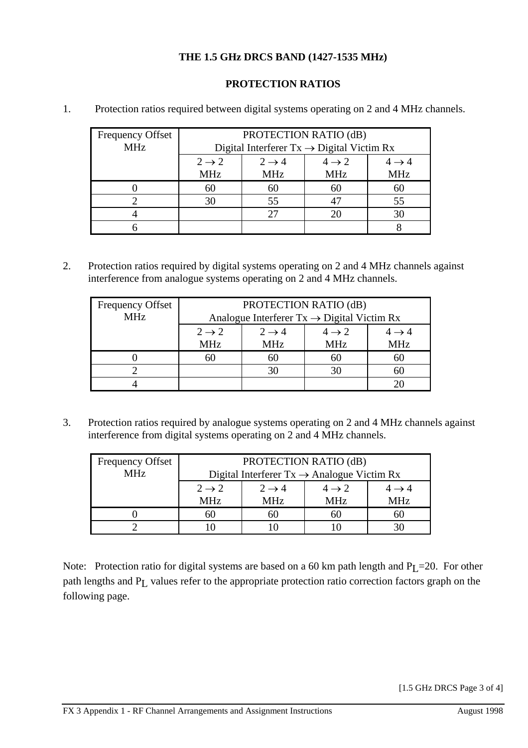# **THE 1.5 GHz DRCS BAND (1427-1535 MHz)**

# **PROTECTION RATIOS**

| <b>Frequency Offset</b> | PROTECTION RATIO (dB)                                 |                   |                   |                   |
|-------------------------|-------------------------------------------------------|-------------------|-------------------|-------------------|
| <b>MHz</b>              | Digital Interferer $Tx \rightarrow$ Digital Victim Rx |                   |                   |                   |
|                         | $2 \rightarrow 2$                                     | $2 \rightarrow 4$ | $4 \rightarrow 2$ | $4 \rightarrow 4$ |
|                         | <b>MHz</b>                                            | <b>MHz</b>        | <b>MHz</b>        | <b>MHz</b>        |
|                         | 60                                                    | 60                | 60                | 60                |
|                         | 30                                                    | 55                |                   | 55                |
|                         |                                                       | 27                |                   | 30                |
|                         |                                                       |                   |                   |                   |

1. Protection ratios required between digital systems operating on 2 and 4 MHz channels.

2. Protection ratios required by digital systems operating on 2 and 4 MHz channels against interference from analogue systems operating on 2 and 4 MHz channels.

| <b>Frequency Offset</b> | PROTECTION RATIO (dB)                                  |                   |                   |                   |
|-------------------------|--------------------------------------------------------|-------------------|-------------------|-------------------|
| <b>MHz</b>              | Analogue Interferer $Tx \rightarrow$ Digital Victim Rx |                   |                   |                   |
|                         | $2 \rightarrow 2$                                      | $2 \rightarrow 4$ | $4 \rightarrow 2$ | $4 \rightarrow 4$ |
|                         | <b>MHz</b>                                             | <b>MHz</b>        | <b>MHz</b>        | <b>MHz</b>        |
|                         | hU                                                     | 60                | 60                | 60                |
|                         |                                                        | 30                | 30                | 60                |
|                         |                                                        |                   |                   |                   |

3. Protection ratios required by analogue systems operating on 2 and 4 MHz channels against interference from digital systems operating on 2 and 4 MHz channels.

| <b>Frequency Offset</b> | PROTECTION RATIO (dB)                                  |                   |                   |                   |
|-------------------------|--------------------------------------------------------|-------------------|-------------------|-------------------|
| <b>MHz</b>              | Digital Interferer $Tx \rightarrow$ Analogue Victim Rx |                   |                   |                   |
|                         | $2 \rightarrow 2$                                      | $2 \rightarrow 4$ | $4 \rightarrow 2$ | $4 \rightarrow 4$ |
|                         | <b>MHz</b>                                             | <b>MHz</b>        | <b>MHz</b>        | MHz               |
|                         | Ы.                                                     | 60                | 60                | ыı                |
|                         |                                                        |                   |                   |                   |

Note: Protection ratio for digital systems are based on a 60 km path length and  $P_1$  = 20. For other path lengths and  $P_L$  values refer to the appropriate protection ratio correction factors graph on the following page.